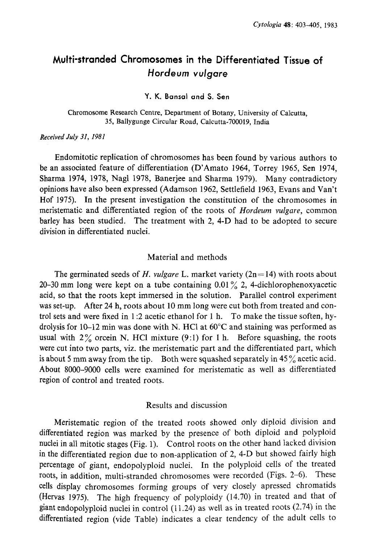# Multi-stranded Chromosomes in the Differentiated Tissue of Hordeum vulgare

#### Y. K. Bansal and S. Sen

Chromosome Research Centre, Department of Botany, University of Calcutta, 35, Ballygunge Circular Road, Calcutta-700019, India

#### Received July 31, 1981

Endomitotic replication of chromosomes has been found by various authors to be an associated feature of differentiation (D'Amato 1964, Torrey 1965, Sen 1974, Sharma 1974, 1978, Nagl 1978, Banerjee and Sharma 1979). Many contradictory opinions have also been expressed (Adamson 1962, Settlefield 1963, Evans and Van't Hof 1975). In the present investigation the constitution of the chromosomes in meristematic and differentiated region of the roots of Hordeum vulgare, common barley has been studied. The treatment with 2, 4-D had to be adopted to secure division in differentiated nuclei.

# Material and methods

The germinated seeds of H. vulgare L. market variety  $(2n=14)$  with roots about 20-30 mm long were kept on a tube containing  $0.01\%$  2, 4-dichlorophenoxyacetic acid, so that the roots kept immersed in the solution. Parallel control experiment was set-up. After 24 h, roots about 10 mm long were cut both from treated and control sets and were fixed in 1:2 acetic ethanol for 1 h. To make the tissue soften, hy drolysis for 10-12 min was done with N. HCl at  $60^{\circ}$ C and staining was performed as usual with  $2\%$  orcein N. HCl mixture (9:1) for 1 h. Before squashing, the roots were cut into two parts, viz. the meristematic part and the differentiated part, which is about 5 mm away from the tip. Both were squashed separately in  $45\%$  acetic acid. About 8000-9000 cells were examined for meristematic as well as differentiated region of control and treated roots.

## Results and discussion

Meristematic region of the treated roots showed only diploid division and differentiated region was marked by the presence of both diploid and polyploid nuclei in all mitotic stages (Fig. 1). Control roots on the other hand lacked division in the differentiated region due to non-application of 2, 4-D but showed fairly high percentage of giant, endopolyploid nuclei. In the polyploid cells of the treated roots, in addition, multi-stranded chromosomes were recorded (Figs. 2-6). These cells display chromosomes forming groups of very closely apressed chromatids (Hervas 1975). The high frequency of polyploidy (14.70) in treated and that of giant endopolyploid nuclei in control (11.24) as well as in treated roots (2.74) in the differentiated region (vide Table) indicates a clear tendency of the adult cells to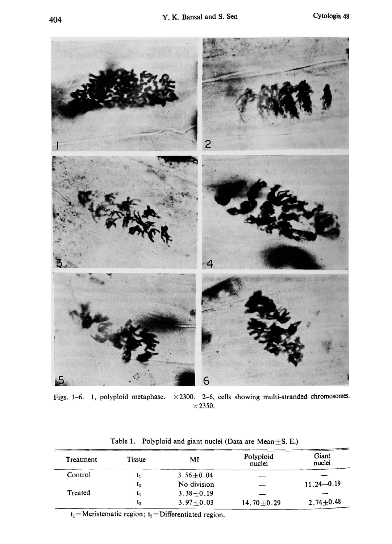

Figs. 1-6. 1, polyploid metaphase.  $\times 2300$ . 2-6, cells showing multi-stranded chromosomes.  $\times$  2350.

| Treatment | <b>Tissue</b> | MI              | Polyploid<br>nuclei | Giant<br>nuclei |
|-----------|---------------|-----------------|---------------------|-----------------|
| Control   |               | $3.56 + 0.04$   |                     |                 |
|           | $\iota_2$     | No division     |                     | $11.24 - 0.19$  |
| Treated   |               | $3.38 + 0.19$   |                     |                 |
|           | $L_2$         | $3.97 \pm 0.03$ | $14.70 + 0.29$      | $2.74 \pm 0.48$ |

Table 1. Polyploid and giant nuclei (Data are Mean $\pm$ S. E.)

 $t_1$ =Meristematic region;  $t_2$ =Differentiated region.